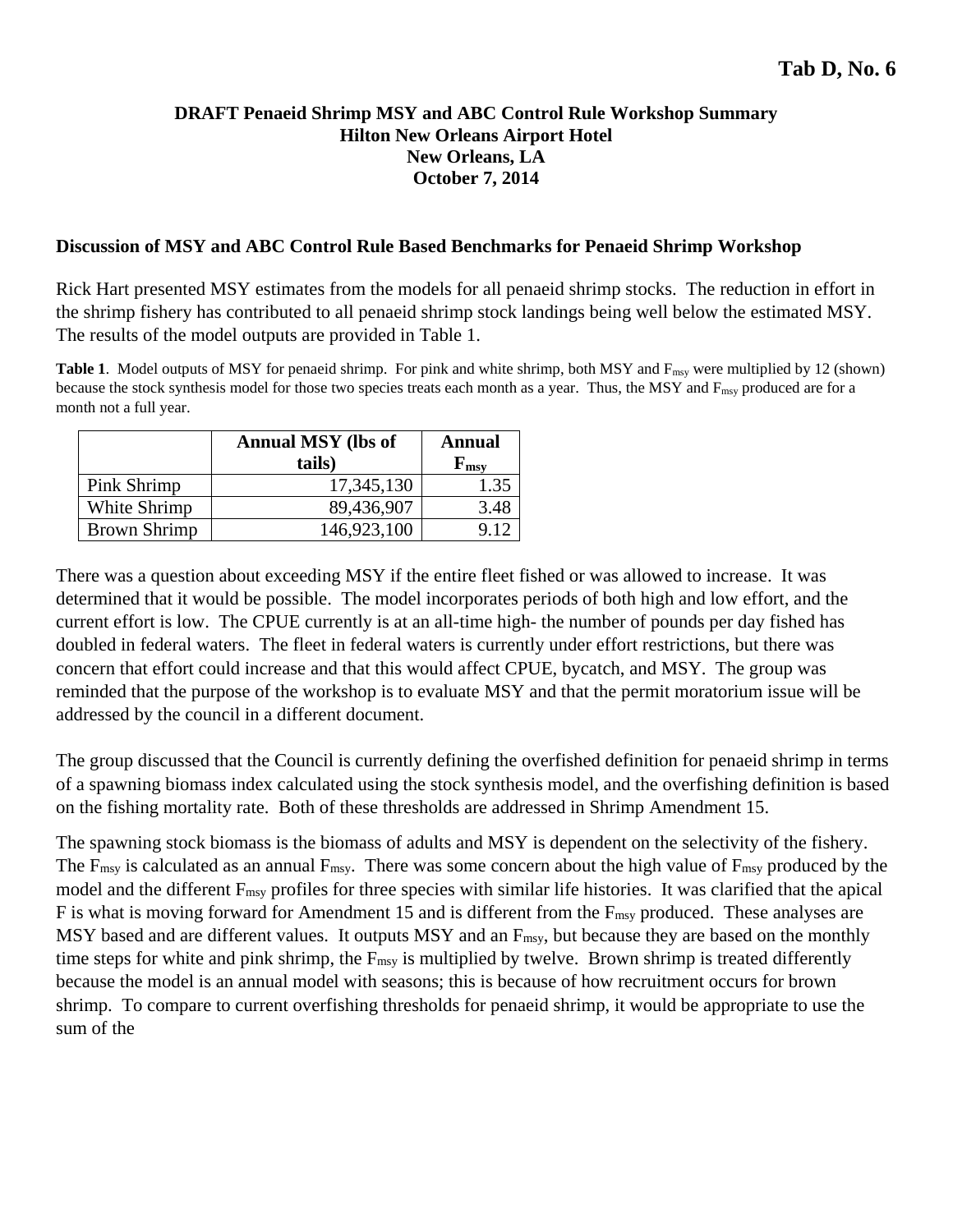### **DRAFT Penaeid Shrimp MSY and ABC Control Rule Workshop Summary Hilton New Orleans Airport Hotel New Orleans, LA October 7, 2014**

#### **Discussion of MSY and ABC Control Rule Based Benchmarks for Penaeid Shrimp Workshop**

Rick Hart presented MSY estimates from the models for all penaeid shrimp stocks. The reduction in effort in the shrimp fishery has contributed to all penaeid shrimp stock landings being well below the estimated MSY. The results of the model outputs are provided in Table 1.

Table 1. Model outputs of MSY for penaeid shrimp. For pink and white shrimp, both MSY and F<sub>msy</sub> were multiplied by 12 (shown) because the stock synthesis model for those two species treats each month as a year. Thus, the MSY and  $F_{\text{msy}}$  produced are for a month not a full year.

|                     | <b>Annual MSY</b> (lbs of<br>tails) | <b>Annual</b><br>$\mathbf{F}_{\mathbf{m}\mathbf{s}\mathbf{v}}$ |
|---------------------|-------------------------------------|----------------------------------------------------------------|
| Pink Shrimp         | 17,345,130                          | 1.35                                                           |
| White Shrimp        | 89,436,907                          | 3.48                                                           |
| <b>Brown Shrimp</b> | 146,923,100                         |                                                                |

There was a question about exceeding MSY if the entire fleet fished or was allowed to increase. It was determined that it would be possible. The model incorporates periods of both high and low effort, and the current effort is low. The CPUE currently is at an all-time high- the number of pounds per day fished has doubled in federal waters. The fleet in federal waters is currently under effort restrictions, but there was concern that effort could increase and that this would affect CPUE, bycatch, and MSY. The group was reminded that the purpose of the workshop is to evaluate MSY and that the permit moratorium issue will be addressed by the council in a different document.

The group discussed that the Council is currently defining the overfished definition for penaeid shrimp in terms of a spawning biomass index calculated using the stock synthesis model, and the overfishing definition is based on the fishing mortality rate. Both of these thresholds are addressed in Shrimp Amendment 15.

The spawning stock biomass is the biomass of adults and MSY is dependent on the selectivity of the fishery. The  $F_{\text{msy}}$  is calculated as an annual  $F_{\text{msy}}$ . There was some concern about the high value of  $F_{\text{msy}}$  produced by the model and the different  $F_{\text{msy}}$  profiles for three species with similar life histories. It was clarified that the apical F is what is moving forward for Amendment 15 and is different from the F<sub>msy</sub> produced. These analyses are MSY based and are different values. It outputs MSY and an F<sub>msy</sub>, but because they are based on the monthly time steps for white and pink shrimp, the F<sub>msy</sub> is multiplied by twelve. Brown shrimp is treated differently because the model is an annual model with seasons; this is because of how recruitment occurs for brown shrimp. To compare to current overfishing thresholds for penaeid shrimp, it would be appropriate to use the sum of the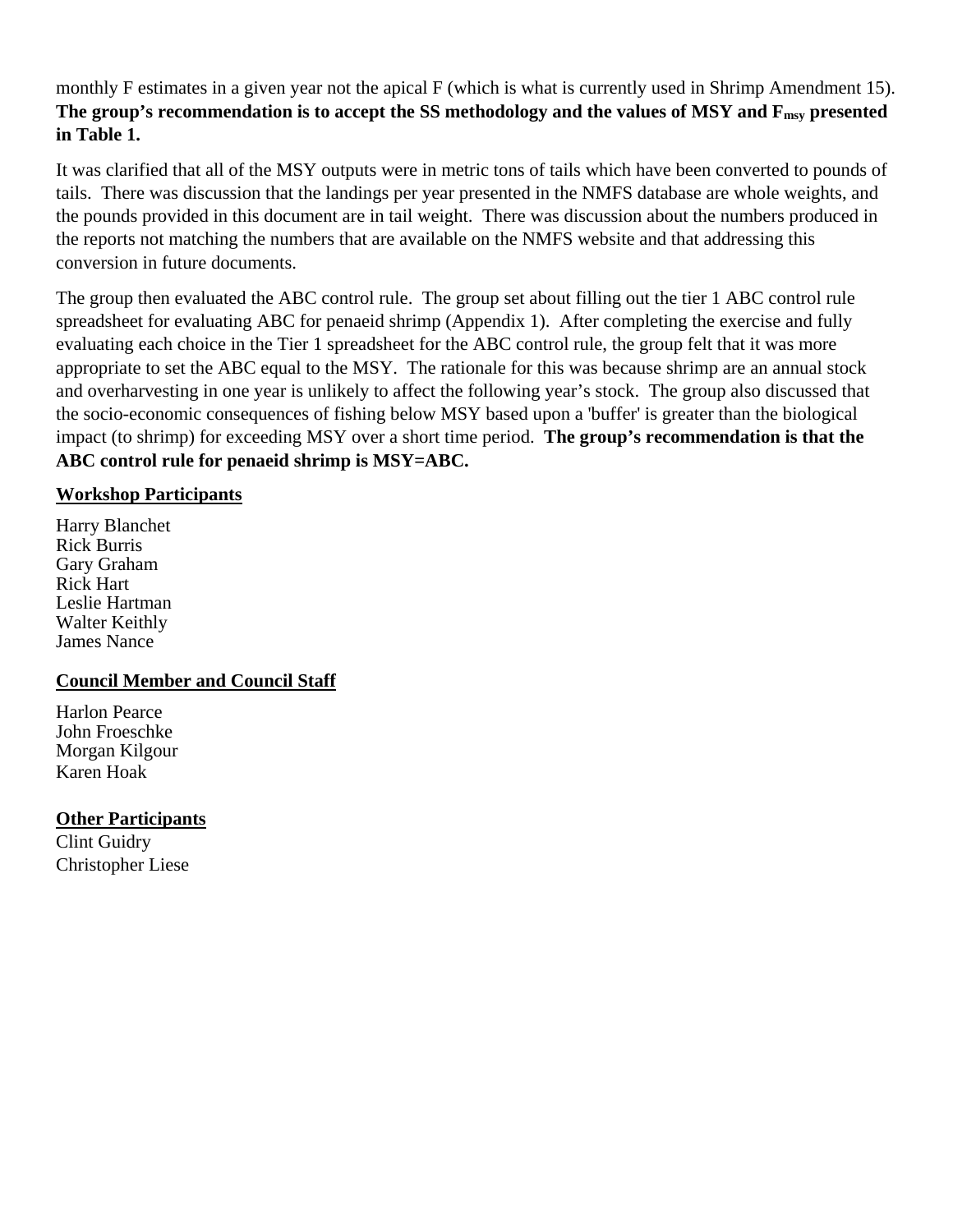monthly F estimates in a given year not the apical F (which is what is currently used in Shrimp Amendment 15). The group's recommendation is to accept the SS methodology and the values of MSY and F<sub>msy</sub> presented **in Table 1.**

It was clarified that all of the MSY outputs were in metric tons of tails which have been converted to pounds of tails. There was discussion that the landings per year presented in the NMFS database are whole weights, and the pounds provided in this document are in tail weight. There was discussion about the numbers produced in the reports not matching the numbers that are available on the NMFS website and that addressing this conversion in future documents.

The group then evaluated the ABC control rule. The group set about filling out the tier 1 ABC control rule spreadsheet for evaluating ABC for penaeid shrimp (Appendix 1). After completing the exercise and fully evaluating each choice in the Tier 1 spreadsheet for the ABC control rule, the group felt that it was more appropriate to set the ABC equal to the MSY. The rationale for this was because shrimp are an annual stock and overharvesting in one year is unlikely to affect the following year's stock. The group also discussed that the socio-economic consequences of fishing below MSY based upon a 'buffer' is greater than the biological impact (to shrimp) for exceeding MSY over a short time period. **The group's recommendation is that the ABC control rule for penaeid shrimp is MSY=ABC.** 

# **Workshop Participants**

Harry Blanchet Rick Burris Gary Graham Rick Hart Leslie Hartman Walter Keithly James Nance

# **Council Member and Council Staff**

Harlon Pearce John Froeschke Morgan Kilgour Karen Hoak

# **Other Participants**

Clint Guidry Christopher Liese